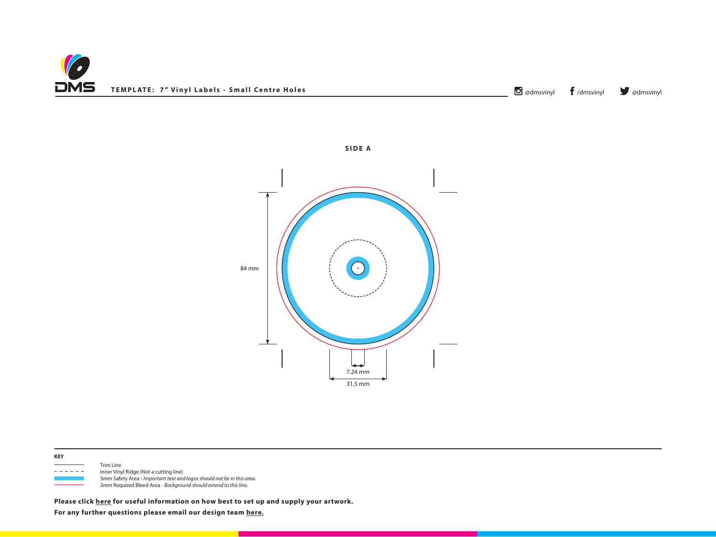



**SIDE A**



 Trim Line - - - - - Inner Vinyl Ridge (Not a cutting line) 3mm Safety Area - *Important text and logos should not be in this area*. 3mm Required Bleed Area - *Background should extend to this line.*

**Please click [here](http://www.discmanufacturingservices.com/vinyl/templates#artwork-specifications) for useful information on how best to set up and supply your artwork.**

**For any further questions please email our design team [here.](mailto:graphics%40discmanufacturingservices.com?subject=Template%20Enquiry)**